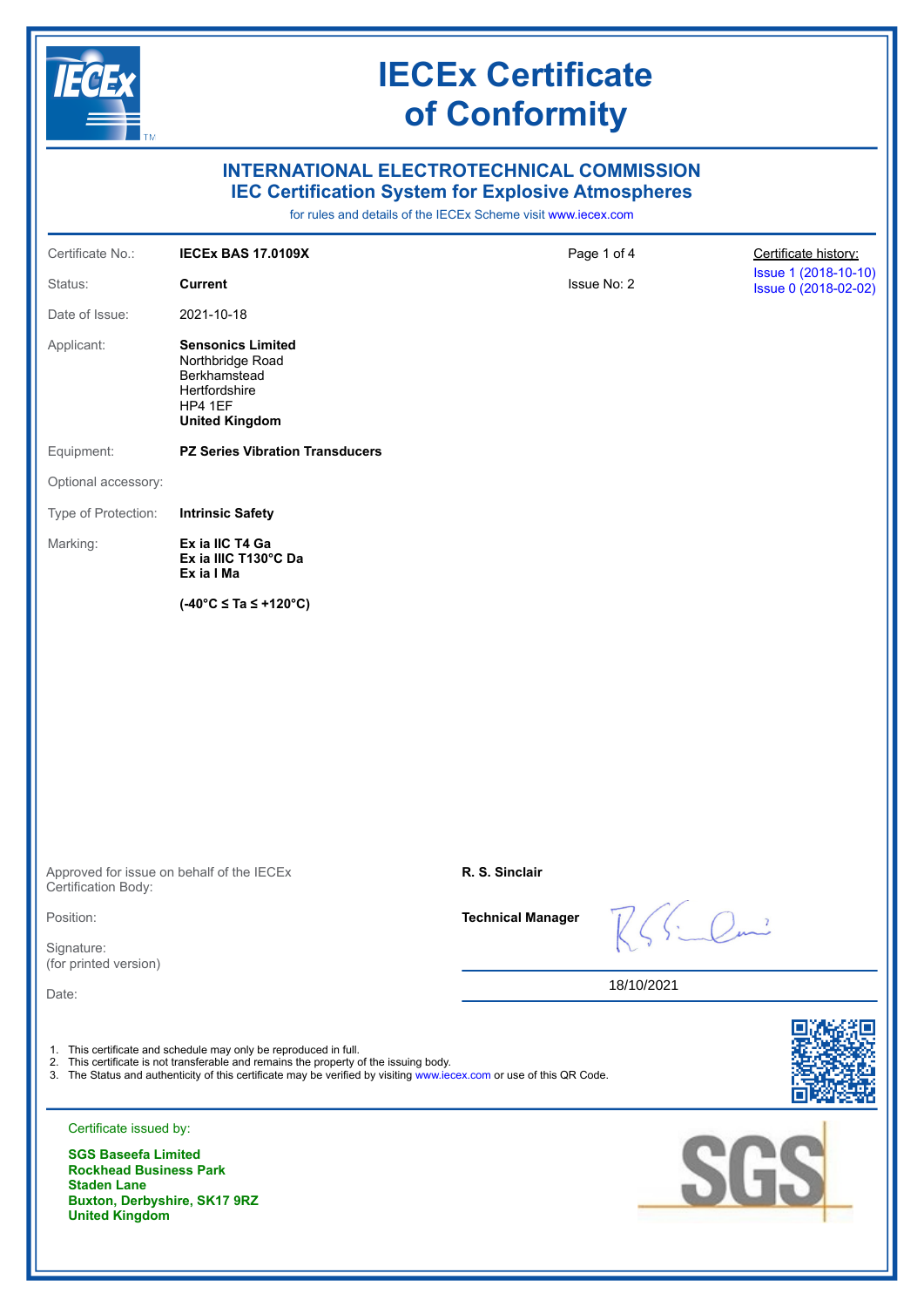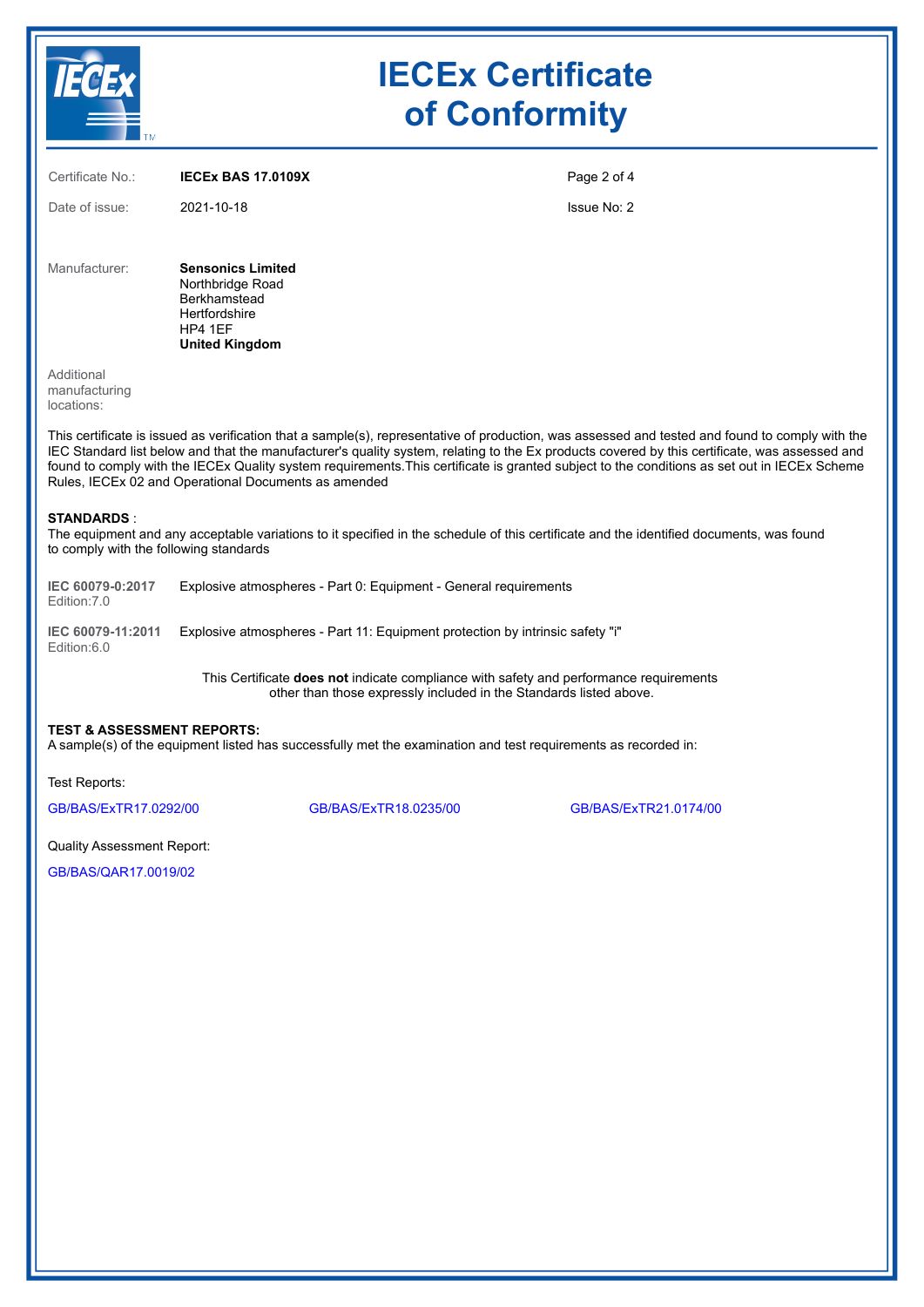|                                                                                                                                                                                                                                                                                                                                                                                                                                                                                                          | <b>IECEx Certificate</b><br>of Conformity                                                                                |                                                                               |                       |  |  |  |  |
|----------------------------------------------------------------------------------------------------------------------------------------------------------------------------------------------------------------------------------------------------------------------------------------------------------------------------------------------------------------------------------------------------------------------------------------------------------------------------------------------------------|--------------------------------------------------------------------------------------------------------------------------|-------------------------------------------------------------------------------|-----------------------|--|--|--|--|
| Certificate No.:                                                                                                                                                                                                                                                                                                                                                                                                                                                                                         | <b>IECEX BAS 17.0109X</b>                                                                                                |                                                                               | Page 2 of 4           |  |  |  |  |
| Date of issue:                                                                                                                                                                                                                                                                                                                                                                                                                                                                                           | 2021-10-18                                                                                                               |                                                                               | Issue No: 2           |  |  |  |  |
| Manufacturer:                                                                                                                                                                                                                                                                                                                                                                                                                                                                                            | <b>Sensonics Limited</b><br>Northbridge Road<br><b>Berkhamstead</b><br>Hertfordshire<br>HP4 1EF<br><b>United Kingdom</b> |                                                                               |                       |  |  |  |  |
| Additional<br>manufacturing<br>locations:                                                                                                                                                                                                                                                                                                                                                                                                                                                                |                                                                                                                          |                                                                               |                       |  |  |  |  |
| This certificate is issued as verification that a sample(s), representative of production, was assessed and tested and found to comply with the<br>IEC Standard list below and that the manufacturer's quality system, relating to the Ex products covered by this certificate, was assessed and<br>found to comply with the IECEx Quality system requirements. This certificate is granted subject to the conditions as set out in IECEx Scheme<br>Rules, IECEx 02 and Operational Documents as amended |                                                                                                                          |                                                                               |                       |  |  |  |  |
| <b>STANDARDS:</b><br>The equipment and any acceptable variations to it specified in the schedule of this certificate and the identified documents, was found<br>to comply with the following standards                                                                                                                                                                                                                                                                                                   |                                                                                                                          |                                                                               |                       |  |  |  |  |
| IEC 60079-0:2017<br>Edition: 7.0                                                                                                                                                                                                                                                                                                                                                                                                                                                                         | Explosive atmospheres - Part 0: Equipment - General requirements                                                         |                                                                               |                       |  |  |  |  |
| IEC 60079-11:2011<br>Edition:6.0                                                                                                                                                                                                                                                                                                                                                                                                                                                                         |                                                                                                                          | Explosive atmospheres - Part 11: Equipment protection by intrinsic safety "i" |                       |  |  |  |  |
| This Certificate <b>does not</b> indicate compliance with safety and performance requirements<br>other than those expressly included in the Standards listed above.                                                                                                                                                                                                                                                                                                                                      |                                                                                                                          |                                                                               |                       |  |  |  |  |
| <b>TEST &amp; ASSESSMENT REPORTS:</b><br>A sample(s) of the equipment listed has successfully met the examination and test requirements as recorded in:                                                                                                                                                                                                                                                                                                                                                  |                                                                                                                          |                                                                               |                       |  |  |  |  |
| Test Reports:                                                                                                                                                                                                                                                                                                                                                                                                                                                                                            |                                                                                                                          |                                                                               |                       |  |  |  |  |
| GB/BAS/ExTR17.0292/00                                                                                                                                                                                                                                                                                                                                                                                                                                                                                    |                                                                                                                          | GB/BAS/ExTR18.0235/00                                                         | GB/BAS/ExTR21.0174/00 |  |  |  |  |

Quality Assessment Report:

[GB/BAS/QAR17.0019/02](https://www.iecex-certs.com/#/deliverables/REPORT/66897/view)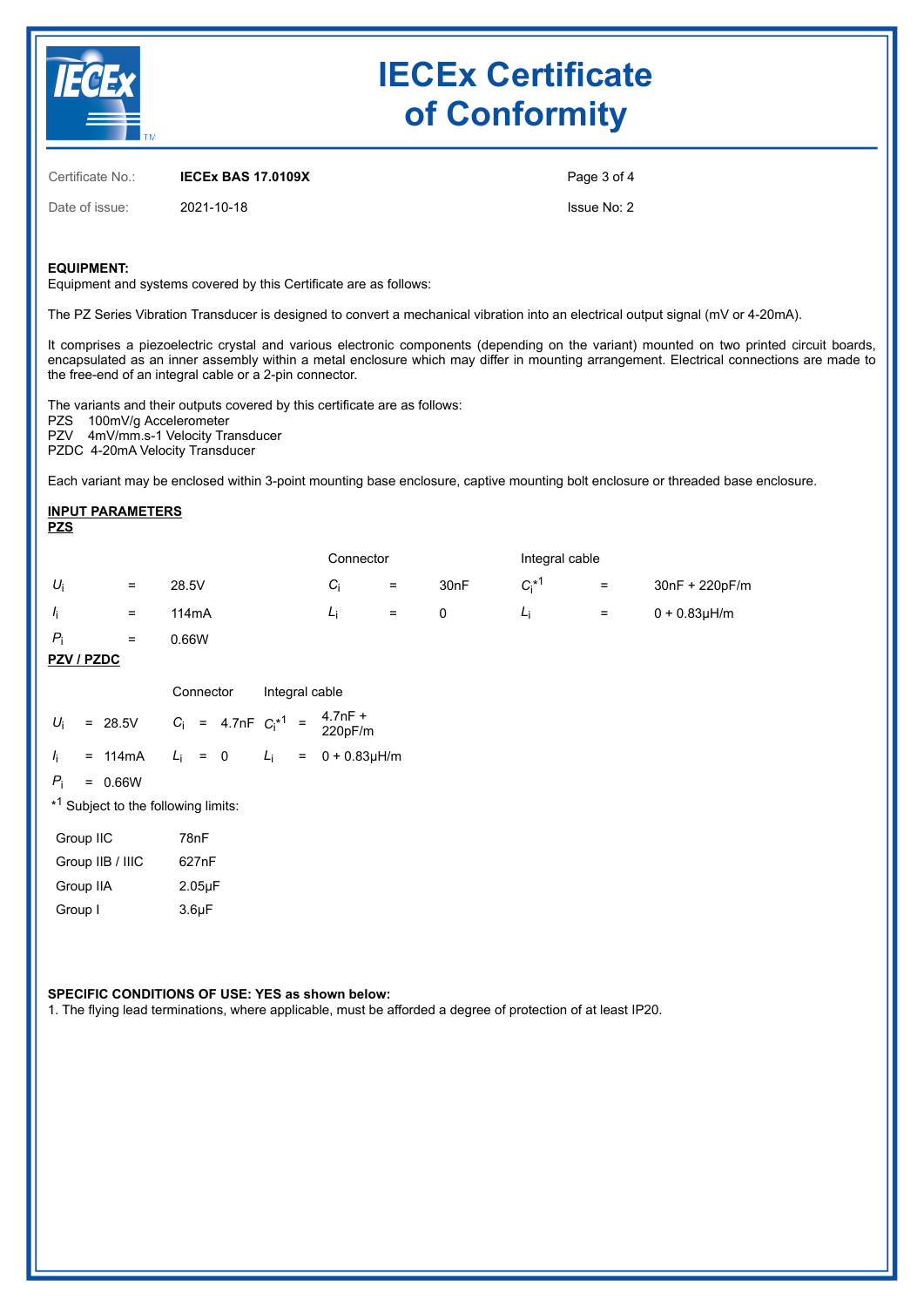

# **IECEx Certificate of Conformity**

Certificate No.: **IECEx BAS 17.0109X**

Date of issue: 2021-10-18

Page 3 of 4

Issue No: 2

### **EQUIPMENT:**

Equipment and systems covered by this Certificate are as follows:

The PZ Series Vibration Transducer is designed to convert a mechanical vibration into an electrical output signal (mV or 4-20mA).

It comprises a piezoelectric crystal and various electronic components (depending on the variant) mounted on two printed circuit boards, encapsulated as an inner assembly within a metal enclosure which may differ in mounting arrangement. Electrical connections are made to the free-end of an integral cable or a 2-pin connector.

The variants and their outputs covered by this certificate are as follows: PZS 100mV/g Accelerometer PZV 4mV/mm.s-1 Velocity Transducer PZDC 4-20mA Velocity Transducer

Each variant may be enclosed within 3-point mounting base enclosure, captive mounting bolt enclosure or threaded base enclosure.

#### **INPUT PARAMETERS PZS**

|             |     |                    | Connector |          | Integral cable   |                      |     |                 |
|-------------|-----|--------------------|-----------|----------|------------------|----------------------|-----|-----------------|
| $U_i$       | $=$ | 28.5V              | Ci        | $=$      | 30 <sub>nF</sub> | $C_i^*$ <sup>1</sup> | $=$ | 30nF + 220pF/m  |
| Ιï.         | $=$ | 114 <sub>m</sub> A | Li        | $\equiv$ |                  | Li                   | $=$ | $0 + 0.83$ µH/m |
| $P_i$       | $=$ | 0.66W              |           |          |                  |                      |     |                 |
| _ _ _ _ _ _ |     |                    |           |          |                  |                      |     |                 |

### **PZV / PZDC**

|                                                 |  |                                                                                | Connector Integral cable |  |  |  |  |                                              |
|-------------------------------------------------|--|--------------------------------------------------------------------------------|--------------------------|--|--|--|--|----------------------------------------------|
|                                                 |  | $U_i$ = 28.5V $C_i$ = 4.7nF $C_i^*$ <sup>1</sup> = $\frac{4.7nF + 1}{220pF/m}$ |                          |  |  |  |  |                                              |
|                                                 |  |                                                                                |                          |  |  |  |  | $l_i$ = 114mA $L_i$ = 0 $L_i$ = 0 + 0.83µH/m |
|                                                 |  | $P_i = 0.66W$                                                                  |                          |  |  |  |  |                                              |
| * <sup>1</sup> Subject to the following limits: |  |                                                                                |                          |  |  |  |  |                                              |
| $\sim$ $\sim$ $\sim$                            |  |                                                                                | – – –                    |  |  |  |  |                                              |

| Group IIC        | 78nF               |
|------------------|--------------------|
| Group IIB / IIIC | 627nF              |
| Group IIA        | $2.05\mu F$        |
| Group I          | 3.6 <sub>µ</sub> F |

## **SPECIFIC CONDITIONS OF USE: YES as shown below:**

1. The flying lead terminations, where applicable, must be afforded a degree of protection of at least IP20.